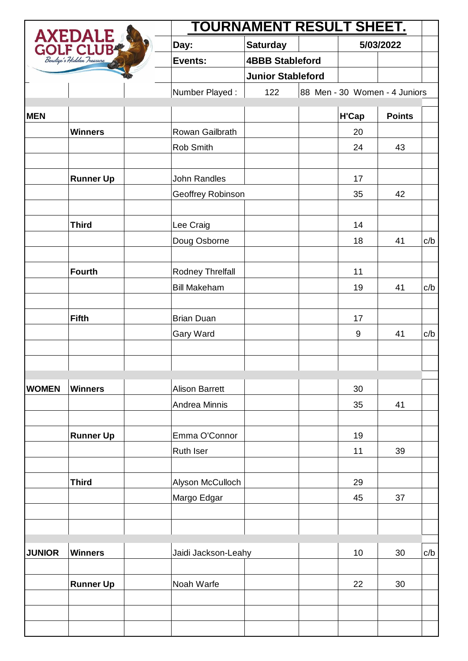| AXEDALE       |                  | <b>TOURNAMENT RESULT SHEET.</b> |                        |    |           |                               |     |
|---------------|------------------|---------------------------------|------------------------|----|-----------|-------------------------------|-----|
|               |                  | Day:                            | <b>Saturday</b>        |    | 5/03/2022 |                               |     |
|               |                  | Events:                         | <b>4BBB Stableford</b> |    |           |                               |     |
|               |                  | <b>Junior Stableford</b>        |                        |    |           |                               |     |
|               |                  | Number Played:                  | 122                    |    |           | 88 Men - 30 Women - 4 Juniors |     |
| <b>MEN</b>    |                  |                                 |                        |    | H'Cap     | <b>Points</b>                 |     |
|               | <b>Winners</b>   | Rowan Gailbrath                 |                        |    | 20        |                               |     |
|               |                  | Rob Smith                       |                        |    | 24        | 43                            |     |
|               |                  |                                 |                        |    |           |                               |     |
|               | <b>Runner Up</b> | <b>John Randles</b>             |                        |    | 17        |                               |     |
|               |                  | Geoffrey Robinson               |                        |    | 35        | 42                            |     |
|               |                  |                                 |                        |    |           |                               |     |
|               | <b>Third</b>     | Lee Craig                       |                        |    | 14        |                               |     |
|               |                  | Doug Osborne                    |                        |    | 18        | 41                            | c/b |
|               | <b>Fourth</b>    | Rodney Threlfall                |                        |    | 11        |                               |     |
|               |                  | <b>Bill Makeham</b>             |                        |    | 19        | 41                            | c/b |
|               | <b>Fifth</b>     | <b>Brian Duan</b>               |                        |    | 17        |                               |     |
|               |                  | Gary Ward                       |                        |    | 9         | 41                            | c/b |
|               |                  |                                 |                        |    |           |                               |     |
| <b>WOMEN</b>  | <b>Winners</b>   | <b>Alison Barrett</b>           |                        |    | 30        |                               |     |
|               |                  | Andrea Minnis                   |                        |    | 35        | 41                            |     |
|               | <b>Runner Up</b> | Emma O'Connor                   |                        |    | 19        |                               |     |
|               |                  | Ruth Iser                       |                        |    | 11        | 39                            |     |
|               | <b>Third</b>     | Alyson McCulloch                |                        |    | 29        |                               |     |
|               |                  | Margo Edgar                     |                        |    | 45        | 37                            |     |
|               |                  |                                 |                        |    |           |                               |     |
| <b>JUNIOR</b> | <b>Winners</b>   | Jaidi Jackson-Leahy             |                        | 10 | 30        | c/b                           |     |
|               |                  |                                 |                        |    |           |                               |     |
|               | <b>Runner Up</b> | Noah Warfe                      |                        |    | 22        | 30                            |     |
|               |                  |                                 |                        |    |           |                               |     |
|               |                  |                                 |                        |    |           |                               |     |